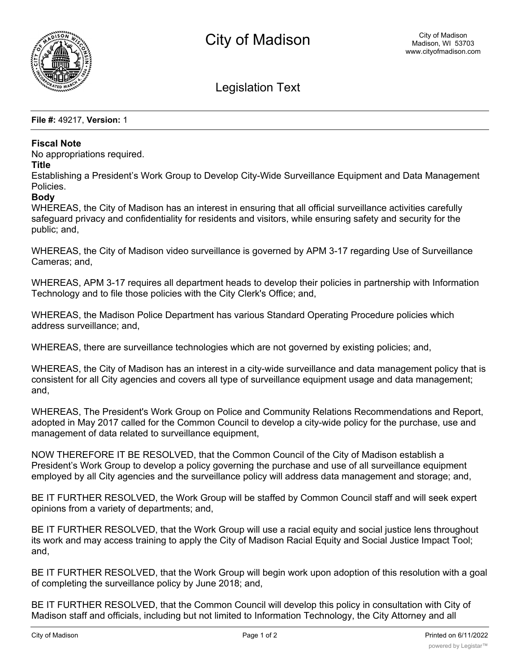

Legislation Text

**File #:** 49217, **Version:** 1

## **Fiscal Note**

No appropriations required.

## **Title**

Establishing a President's Work Group to Develop City-Wide Surveillance Equipment and Data Management Policies.

## **Body**

WHEREAS, the City of Madison has an interest in ensuring that all official surveillance activities carefully safeguard privacy and confidentiality for residents and visitors, while ensuring safety and security for the public; and,

WHEREAS, the City of Madison video surveillance is governed by APM 3-17 regarding Use of Surveillance Cameras; and,

WHEREAS, APM 3-17 requires all department heads to develop their policies in partnership with Information Technology and to file those policies with the City Clerk's Office; and,

WHEREAS, the Madison Police Department has various Standard Operating Procedure policies which address surveillance; and,

WHEREAS, there are surveillance technologies which are not governed by existing policies; and,

WHEREAS, the City of Madison has an interest in a city-wide surveillance and data management policy that is consistent for all City agencies and covers all type of surveillance equipment usage and data management; and,

WHEREAS, The President's Work Group on Police and Community Relations Recommendations and Report, adopted in May 2017 called for the Common Council to develop a city-wide policy for the purchase, use and management of data related to surveillance equipment,

NOW THEREFORE IT BE RESOLVED, that the Common Council of the City of Madison establish a President's Work Group to develop a policy governing the purchase and use of all surveillance equipment employed by all City agencies and the surveillance policy will address data management and storage; and,

BE IT FURTHER RESOLVED, the Work Group will be staffed by Common Council staff and will seek expert opinions from a variety of departments; and,

BE IT FURTHER RESOLVED, that the Work Group will use a racial equity and social justice lens throughout its work and may access training to apply the City of Madison Racial Equity and Social Justice Impact Tool; and,

BE IT FURTHER RESOLVED, that the Work Group will begin work upon adoption of this resolution with a goal of completing the surveillance policy by June 2018; and,

BE IT FURTHER RESOLVED, that the Common Council will develop this policy in consultation with City of Madison staff and officials, including but not limited to Information Technology, the City Attorney and all